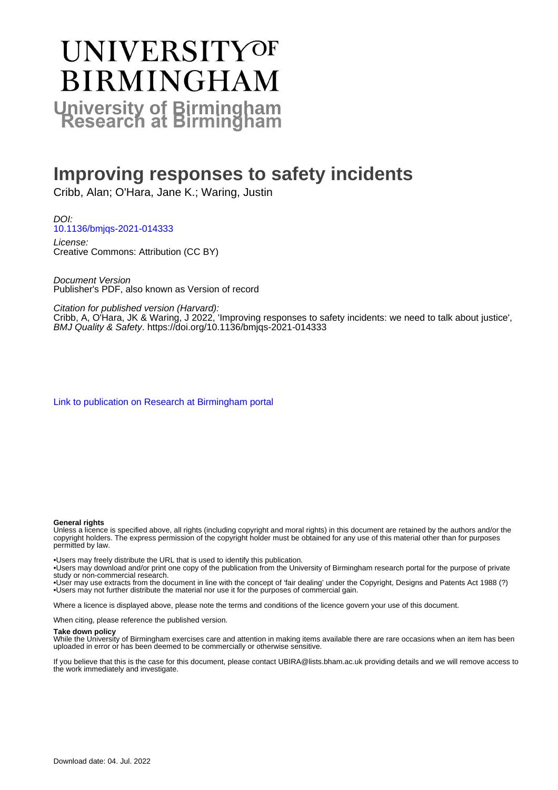# **UNIVERSITYOF BIRMINGHAM University of Birmingham**

### **Improving responses to safety incidents**

Cribb, Alan; O'Hara, Jane K.; Waring, Justin

DOI: [10.1136/bmjqs-2021-014333](https://doi.org/10.1136/bmjqs-2021-014333)

License: Creative Commons: Attribution (CC BY)

Document Version Publisher's PDF, also known as Version of record

Citation for published version (Harvard):

Cribb, A, O'Hara, JK & Waring, J 2022, 'Improving responses to safety incidents: we need to talk about justice', BMJ Quality & Safety.<https://doi.org/10.1136/bmjqs-2021-014333>

[Link to publication on Research at Birmingham portal](https://birmingham.elsevierpure.com/en/publications/047e684b-f43c-4dfd-a1e9-02a08c6fbc79)

#### **General rights**

Unless a licence is specified above, all rights (including copyright and moral rights) in this document are retained by the authors and/or the copyright holders. The express permission of the copyright holder must be obtained for any use of this material other than for purposes permitted by law.

• Users may freely distribute the URL that is used to identify this publication.

• Users may download and/or print one copy of the publication from the University of Birmingham research portal for the purpose of private study or non-commercial research.

• User may use extracts from the document in line with the concept of 'fair dealing' under the Copyright, Designs and Patents Act 1988 (?) • Users may not further distribute the material nor use it for the purposes of commercial gain.

Where a licence is displayed above, please note the terms and conditions of the licence govern your use of this document.

When citing, please reference the published version.

#### **Take down policy**

While the University of Birmingham exercises care and attention in making items available there are rare occasions when an item has been uploaded in error or has been deemed to be commercially or otherwise sensitive.

If you believe that this is the case for this document, please contact UBIRA@lists.bham.ac.uk providing details and we will remove access to the work immediately and investigate.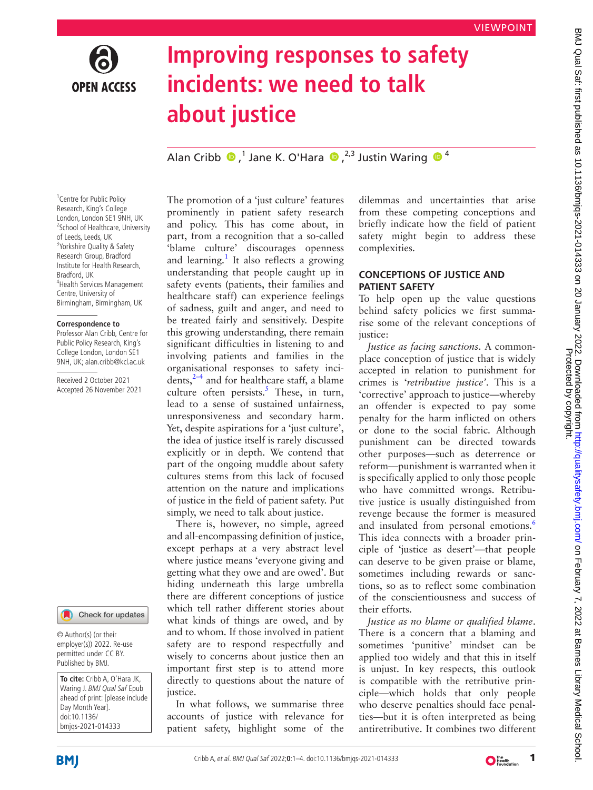

## **Improving responses to safety incidents: we need to talk about justice**

AlanCribb  $\bigcirc$ ,<sup>1</sup> Jane K. O'Hara  $\bigcirc$ ,<sup>2,3</sup> Justin Waring  $\bigcirc$ <sup>4</sup>

<sup>1</sup> Centre for Public Policy Research, King's College London, London SE1 9NH, UK <sup>2</sup>School of Healthcare, University of Leeds, Leeds, UK <sup>3</sup>Yorkshire Quality & Safety Research Group, Bradford Institute for Health Research, Bradford, UK 4 Health Services Management Centre, University of Birmingham, Birmingham, UK

#### **Correspondence to**

Professor Alan Cribb, Centre for Public Policy Research, King's College London, London SE1 9NH, UK; alan.cribb@kcl.ac.uk

Received 2 October 2021 Accepted 26 November 2021



© Author(s) (or their employer(s)) 2022. Re-use permitted under CC BY. Published by BMJ.

**To cite:** Cribb A, O'Hara JK, Waring J. BMJ Qual Saf Epub ahead of print: [please include Day Month Year]. doi:10.1136/ bmjqs-2021-014333

The promotion of a 'just culture' features prominently in patient safety research and policy. This has come about, in part, from a recognition that a so-called 'blame culture' discourages openness and learning.<sup>[1](#page-4-0)</sup> It also reflects a growing understanding that people caught up in safety events (patients, their families and healthcare staff) can experience feelings of sadness, guilt and anger, and need to be treated fairly and sensitively. Despite this growing understanding, there remain significant difficulties in listening to and involving patients and families in the organisational responses to safety incidents, $2-4$  and for healthcare staff, a blame culture often persists.<sup>[5](#page-4-2)</sup> These, in turn, lead to a sense of sustained unfairness, unresponsiveness and secondary harm. Yet, despite aspirations for a 'just culture', the idea of justice itself is rarely discussed explicitly or in depth. We contend that part of the ongoing muddle about safety cultures stems from this lack of focused attention on the nature and implications of justice in the field of patient safety. Put simply, we need to talk about justice.

There is, however, no simple, agreed and all-encompassing definition of justice, except perhaps at a very abstract level where justice means 'everyone giving and getting what they owe and are owed'. But hiding underneath this large umbrella there are different conceptions of justice which tell rather different stories about what kinds of things are owed, and by and to whom. If those involved in patient safety are to respond respectfully and wisely to concerns about justice then an important first step is to attend more directly to questions about the nature of justice.

In what follows, we summarise three accounts of justice with relevance for patient safety, highlight some of the

dilemmas and uncertainties that arise from these competing conceptions and briefly indicate how the field of patient safety might begin to address these complexities.

#### **CONCEPTIONS OF JUSTICE AND PATIENT SAFETY**

To help open up the value questions behind safety policies we first summarise some of the relevant conceptions of justice:

*Justice as facing sanctions*. A commonplace conception of justice that is widely accepted in relation to punishment for crimes is '*retributive justice'*. This is a 'corrective' approach to justice—whereby an offender is expected to pay some penalty for the harm inflicted on others or done to the social fabric. Although punishment can be directed towards other purposes—such as deterrence or reform—punishment is warranted when it is specifically applied to only those people who have committed wrongs. Retributive justice is usually distinguished from revenge because the former is measured and insulated from personal emotions.<sup>[6](#page-4-3)</sup> This idea connects with a broader principle of 'justice as desert'—that people can deserve to be given praise or blame, sometimes including rewards or sanctions, so as to reflect some combination of the conscientiousness and success of their efforts.

*Justice as no blame or qualified blame*. There is a concern that a blaming and sometimes 'punitive' mindset can be applied too widely and that this in itself is unjust. In key respects, this outlook is compatible with the retributive principle—which holds that only people who deserve penalties should face penalties—but it is often interpreted as being antiretributive. It combines two different

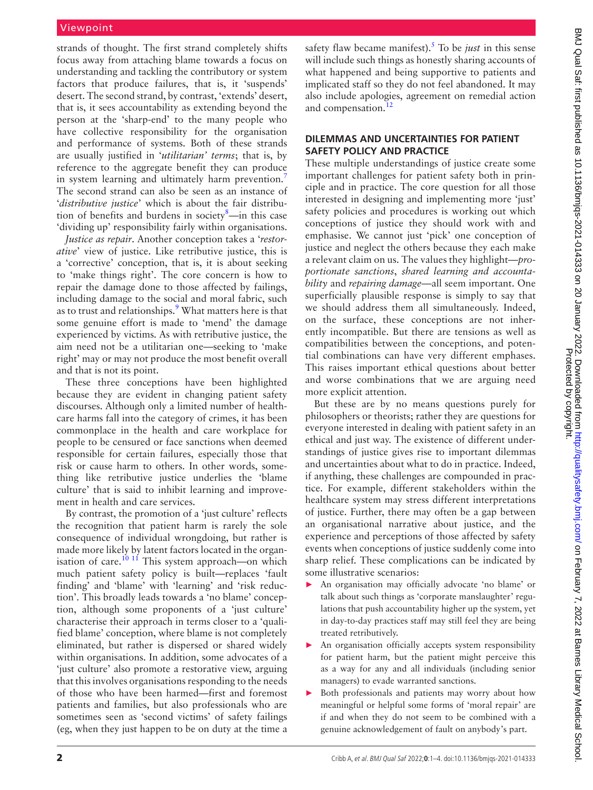strands of thought. The first strand completely shifts focus away from attaching blame towards a focus on understanding and tackling the contributory or system factors that produce failures, that is, it 'suspends' desert. The second strand, by contrast, 'extends' desert, that is, it sees accountability as extending beyond the person at the 'sharp-end' to the many people who have collective responsibility for the organisation and performance of systems. Both of these strands are usually justified in '*utilitarian' terms*; that is, by reference to the aggregate benefit they can produce in system learning and ultimately harm prevention.<sup>[7](#page-4-4)</sup> The second strand can also be seen as an instance of '*distributive justice*' which is about the fair distribu-tion of benefits and burdens in society<sup>[8](#page-4-5)</sup>—in this case 'dividing up' responsibility fairly within organisations.

*Justice as repair*. Another conception takes a '*restorative*' view of justice. Like retributive justice, this is a 'corrective' conception, that is, it is about seeking to 'make things right'. The core concern is how to repair the damage done to those affected by failings, including damage to the social and moral fabric, such as to trust and relationships.<sup>[9](#page-4-6)</sup> What matters here is that some genuine effort is made to 'mend' the damage experienced by victims. As with retributive justice, the aim need not be a utilitarian one—seeking to 'make right' may or may not produce the most benefit overall and that is not its point.

These three conceptions have been highlighted because they are evident in changing patient safety discourses. Although only a limited number of healthcare harms fall into the category of crimes, it has been commonplace in the health and care workplace for people to be censured or face sanctions when deemed responsible for certain failures, especially those that risk or cause harm to others. In other words, something like retributive justice underlies the 'blame culture' that is said to inhibit learning and improvement in health and care services.

By contrast, the promotion of a 'just culture' reflects the recognition that patient harm is rarely the sole consequence of individual wrongdoing, but rather is made more likely by latent factors located in the organisation of care.<sup>10 11</sup> This system approach—on which much patient safety policy is built—replaces 'fault finding' and 'blame' with 'learning' and 'risk reduction'. This broadly leads towards a 'no blame' conception, although some proponents of a 'just culture' characterise their approach in terms closer to a 'qualified blame' conception, where blame is not completely eliminated, but rather is dispersed or shared widely within organisations. In addition, some advocates of a 'just culture' also promote a restorative view, arguing that this involves organisations responding to the needs of those who have been harmed—first and foremost patients and families, but also professionals who are sometimes seen as 'second victims' of safety failings (eg, when they just happen to be on duty at the time a

safety flaw became manifest)[.5](#page-4-2) To be *just* in this sense will include such things as honestly sharing accounts of what happened and being supportive to patients and implicated staff so they do not feel abandoned. It may also include apologies, agreement on remedial action and compensation.<sup>[12](#page-4-8)</sup>

#### **DILEMMAS AND UNCERTAINTIES FOR PATIENT SAFETY POLICY AND PRACTICE**

These multiple understandings of justice create some important challenges for patient safety both in principle and in practice. The core question for all those interested in designing and implementing more 'just' safety policies and procedures is working out which conceptions of justice they should work with and emphasise. We cannot just 'pick' one conception of justice and neglect the others because they each make a relevant claim on us. The values they highlight—*proportionate sanctions*, *shared learning and accountability* and *repairing damage—*all seem important. One superficially plausible response is simply to say that we should address them all simultaneously. Indeed, on the surface, these conceptions are not inherently incompatible. But there are tensions as well as compatibilities between the conceptions, and potential combinations can have very different emphases. This raises important ethical questions about better and worse combinations that we are arguing need more explicit attention.

But these are by no means questions purely for philosophers or theorists; rather they are questions for everyone interested in dealing with patient safety in an ethical and just way. The existence of different understandings of justice gives rise to important dilemmas and uncertainties about what to do in practice. Indeed, if anything, these challenges are compounded in practice. For example, different stakeholders within the healthcare system may stress different interpretations of justice. Further, there may often be a gap between an organisational narrative about justice, and the experience and perceptions of those affected by safety events when conceptions of justice suddenly come into sharp relief. These complications can be indicated by some illustrative scenarios:

- ► An organisation may officially advocate 'no blame' or talk about such things as 'corporate manslaughter' regulations that push accountability higher up the system, yet in day-to-day practices staff may still feel they are being treated retributively.
- An organisation officially accepts system responsibility for patient harm, but the patient might perceive this as a way for any and all individuals (including senior managers) to evade warranted sanctions.
- ► Both professionals and patients may worry about how meaningful or helpful some forms of 'moral repair' are if and when they do not seem to be combined with a genuine acknowledgement of fault on anybody's part.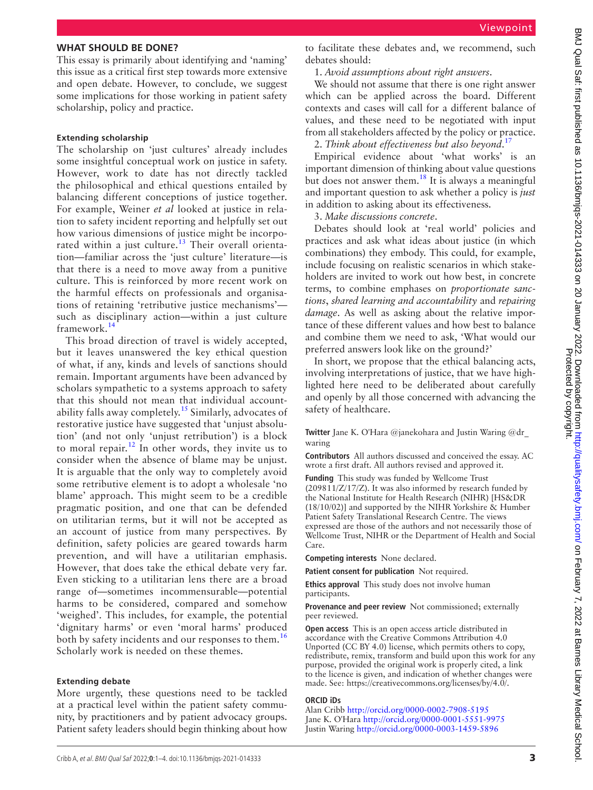#### **WHAT SHOULD BE DONE?**

This essay is primarily about identifying and 'naming' this issue as a critical first step towards more extensive and open debate. However, to conclude, we suggest some implications for those working in patient safety scholarship, policy and practice.

#### **Extending scholarship**

The scholarship on 'just cultures' already includes some insightful conceptual work on justice in safety. However, work to date has not directly tackled the philosophical and ethical questions entailed by balancing different conceptions of justice together. For example, Weiner *et al* looked at justice in relation to safety incident reporting and helpfully set out how various dimensions of justice might be incorporated within a just culture.<sup>13</sup> Their overall orientation—familiar across the 'just culture' literature—is that there is a need to move away from a punitive culture. This is reinforced by more recent work on the harmful effects on professionals and organisations of retaining 'retributive justice mechanisms' such as disciplinary action—within a just culture framework.[14](#page-4-10)

This broad direction of travel is widely accepted, but it leaves unanswered the key ethical question of what, if any, kinds and levels of sanctions should remain. Important arguments have been advanced by scholars sympathetic to a systems approach to safety that this should not mean that individual account-ability falls away completely.<sup>[15](#page-4-11)</sup> Similarly, advocates of restorative justice have suggested that 'unjust absolution' (and not only 'unjust retribution') is a block to moral repair.<sup>[12](#page-4-8)</sup> In other words, they invite us to consider when the absence of blame may be unjust. It is arguable that the only way to completely avoid some retributive element is to adopt a wholesale 'no blame' approach. This might seem to be a credible pragmatic position, and one that can be defended on utilitarian terms, but it will not be accepted as an account of justice from many perspectives. By definition, safety policies are geared towards harm prevention, and will have a utilitarian emphasis. However, that does take the ethical debate very far. Even sticking to a utilitarian lens there are a broad range of—sometimes incommensurable—potential harms to be considered, compared and somehow 'weighed'. This includes, for example, the potential 'dignitary harms' or even 'moral harms' produced both by safety incidents and our responses to them.<sup>[16](#page-4-12)</sup> Scholarly work is needed on these themes.

#### **Extending debate**

More urgently, these questions need to be tackled at a practical level within the patient safety community, by practitioners and by patient advocacy groups. Patient safety leaders should begin thinking about how

to facilitate these debates and, we recommend, such debates should:

#### 1. *Avoid assumptions about right answers*.

We should not assume that there is one right answer which can be applied across the board. Different contexts and cases will call for a different balance of values, and these need to be negotiated with input from all stakeholders affected by the policy or practice. 2. *Think about effectiveness but also beyond*. [17](#page-4-13)

Empirical evidence about 'what works' is an important dimension of thinking about value questions but does not answer them.<sup>18</sup> It is always a meaningful and important question to ask whether a policy is *just* in addition to asking about its effectiveness.

3. *Make discussions concrete*.

Debates should look at 'real world' policies and practices and ask what ideas about justice (in which combinations) they embody. This could, for example, include focusing on realistic scenarios in which stakeholders are invited to work out how best, in concrete terms, to combine emphases on *proportionate sanctions*, *shared learning and accountability* and *repairing damage*. As well as asking about the relative importance of these different values and how best to balance and combine them we need to ask, 'What would our preferred answers look like on the ground?'

In short, we propose that the ethical balancing acts, involving interpretations of justice, that we have highlighted here need to be deliberated about carefully and openly by all those concerned with advancing the safety of healthcare.

**Twitter** Jane K. O'Hara [@janekohara](https://twitter.com/janekohara) and Justin Waring [@dr\\_](https://twitter.com/dr_waring) [waring](https://twitter.com/dr_waring)

**Contributors** All authors discussed and conceived the essay. AC wrote a first draft. All authors revised and approved it.

**Funding** This study was funded by Wellcome Trust (209811/Z/17/Z). It was also informed by research funded by the National Institute for Health Research (NIHR) [HS&DR (18/10/02)] and supported by the NIHR Yorkshire & Humber Patient Safety Translational Research Centre. The views expressed are those of the authors and not necessarily those of Wellcome Trust, NIHR or the Department of Health and Social Care.

**Competing interests** None declared.

**Patient consent for publication** Not required.

**Ethics approval** This study does not involve human participants.

**Provenance and peer review** Not commissioned; externally peer reviewed.

**Open access** This is an open access article distributed in accordance with the Creative Commons Attribution 4.0 Unported (CC BY 4.0) license, which permits others to copy, redistribute, remix, transform and build upon this work for any purpose, provided the original work is properly cited, a link to the licence is given, and indication of whether changes were made. See: <https://creativecommons.org/licenses/by/4.0/>.

#### **ORCID iDs**

Alan Cribb <http://orcid.org/0000-0002-7908-5195> Jane K. O'Hara <http://orcid.org/0000-0001-5551-9975> Justin Waring<http://orcid.org/0000-0003-1459-5896>